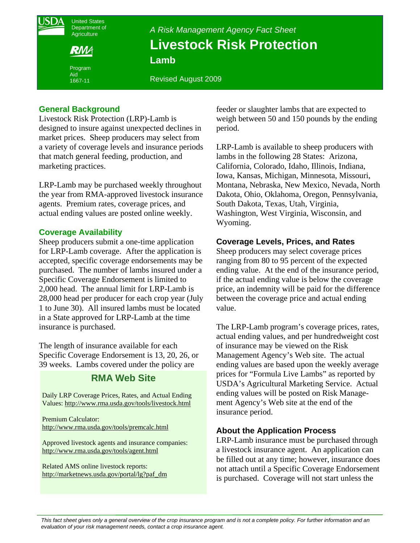United States Department of **Agriculture** Program *A Risk Management Agency Fact Sheet*  **Livestock Risk Protection Lamb** 

Revised August 2009

# **General Background**

Aid 1667-11

Livestock Risk Protection (LRP)-Lamb is designed to insure against unexpected declines in market prices. Sheep producers may select from a variety of coverage levels and insurance periods that match general feeding, production, and marketing practices.

LRP-Lamb may be purchased weekly throughout the year from RMA-approved livestock insurance agents. Premium rates, coverage prices, and actual ending values are posted online weekly.

### **Coverage Availability**

Sheep producers submit a one-time application for LRP-Lamb coverage. After the application is accepted, specific coverage endorsements may be purchased. The number of lambs insured under a Specific Coverage Endorsement is limited to 2,000 head. The annual limit for LRP-Lamb is 28,000 head per producer for each crop year (July 1 to June 30). All insured lambs must be located in a State approved for LRP-Lamb at the time insurance is purchased.

The length of insurance available for each Specific Coverage Endorsement is 13, 20, 26, or 39 weeks. Lambs covered under the policy are

# **RMA Web Site**

Daily LRP Coverage Prices, Rates, and Actual Ending Values: http://www.rma.usda.gov/tools/livestock.html

Premium Calculator: http://www.rma.usda.gov/tools/premcalc.html

Approved livestock agents and insurance companies: http://www.rma.usda.gov/tools/agent.html

 Related AMS online livestock reports: http://marketnews.usda.gov/portal/lg?paf\_dm feeder or slaughter lambs that are expected to weigh between 50 and 150 pounds by the ending period.

LRP-Lamb is available to sheep producers with lambs in the following 28 States: Arizona, California, Colorado, Idaho, Illinois, Indiana, Iowa, Kansas, Michigan, Minnesota, Missouri, Montana, Nebraska, New Mexico, Nevada, North Dakota, Ohio, Oklahoma, Oregon, Pennsylvania, South Dakota, Texas, Utah, Virginia, Washington, West Virginia, Wisconsin, and Wyoming.

# **Coverage Levels, Prices, and Rates**

Sheep producers may select coverage prices ranging from 80 to 95 percent of the expected ending value. At the end of the insurance period, if the actual ending value is below the coverage price, an indemnity will be paid for the difference between the coverage price and actual ending value.

The LRP-Lamb program's coverage prices, rates, actual ending values, and per hundredweight cost of insurance may be viewed on the Risk Management Agency's Web site. The actual ending values are based upon the weekly average prices for "Formula Live Lambs" as reported by USDA's Agricultural Marketing Service. Actual ending values will be posted on Risk Management Agency's Web site at the end of the insurance period.

# **About the Application Process**

LRP-Lamb insurance must be purchased through a livestock insurance agent. An application can be filled out at any time; however, insurance does not attach until a Specific Coverage Endorsement is purchased. Coverage will not start unless the